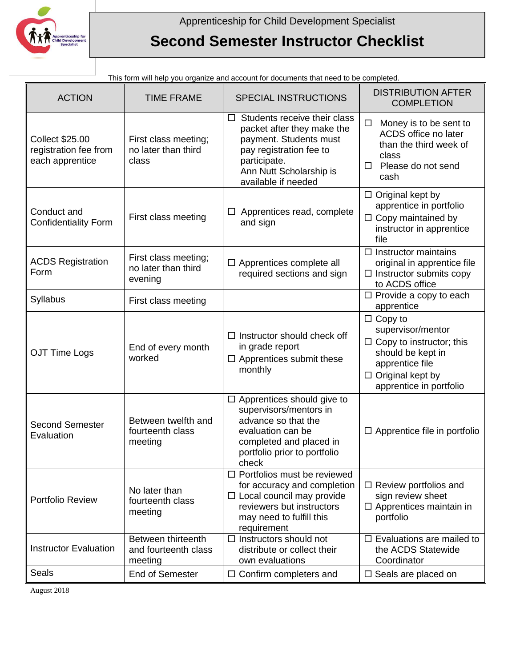

## **Second Semester Instructor Checklist**

| This form will neip you organize and account for documents that need to be completed. |                                                        |                                                                                                                                                                                             |                                                                                                                                                                      |  |  |
|---------------------------------------------------------------------------------------|--------------------------------------------------------|---------------------------------------------------------------------------------------------------------------------------------------------------------------------------------------------|----------------------------------------------------------------------------------------------------------------------------------------------------------------------|--|--|
| <b>ACTION</b>                                                                         | <b>TIME FRAME</b>                                      | SPECIAL INSTRUCTIONS                                                                                                                                                                        | <b>DISTRIBUTION AFTER</b><br><b>COMPLETION</b>                                                                                                                       |  |  |
| <b>Collect \$25.00</b><br>registration fee from<br>each apprentice                    | First class meeting;<br>no later than third<br>class   | Students receive their class<br>$\Box$<br>packet after they make the<br>payment. Students must<br>pay registration fee to<br>participate.<br>Ann Nutt Scholarship is<br>available if needed | $\Box$<br>Money is to be sent to<br>ACDS office no later<br>than the third week of<br>class<br>Please do not send<br>□<br>cash                                       |  |  |
| Conduct and<br><b>Confidentiality Form</b>                                            | First class meeting                                    | $\Box$ Apprentices read, complete<br>and sign                                                                                                                                               | $\Box$ Original kept by<br>apprentice in portfolio<br>$\Box$ Copy maintained by<br>instructor in apprentice<br>file                                                  |  |  |
| <b>ACDS Registration</b><br>Form                                                      | First class meeting;<br>no later than third<br>evening | $\Box$ Apprentices complete all<br>required sections and sign                                                                                                                               | $\Box$ Instructor maintains<br>original in apprentice file<br>$\Box$ Instructor submits copy<br>to ACDS office                                                       |  |  |
| Syllabus                                                                              | First class meeting                                    |                                                                                                                                                                                             | $\Box$ Provide a copy to each<br>apprentice                                                                                                                          |  |  |
| OJT Time Logs                                                                         | End of every month<br>worked                           | $\Box$ Instructor should check off<br>in grade report<br>$\Box$ Apprentices submit these<br>monthly                                                                                         | $\Box$ Copy to<br>supervisor/mentor<br>$\Box$ Copy to instructor; this<br>should be kept in<br>apprentice file<br>$\Box$ Original kept by<br>apprentice in portfolio |  |  |
| <b>Second Semester</b><br>Evaluation                                                  | Between twelfth and<br>fourteenth class<br>meeting     | $\Box$ Apprentices should give to<br>supervisors/mentors in<br>advance so that the<br>evaluation can be<br>completed and placed in<br>portfolio prior to portfolio<br>check                 | $\Box$ Apprentice file in portfolio                                                                                                                                  |  |  |
| Portfolio Review                                                                      | No later than<br>fourteenth class<br>meeting           | $\Box$ Portfolios must be reviewed<br>for accuracy and completion<br>$\Box$ Local council may provide<br>reviewers but instructors<br>may need to fulfill this<br>requirement               | $\Box$ Review portfolios and<br>sign review sheet<br>$\Box$ Apprentices maintain in<br>portfolio                                                                     |  |  |
| <b>Instructor Evaluation</b>                                                          | Between thirteenth<br>and fourteenth class<br>meeting  | Instructors should not<br>□<br>distribute or collect their<br>own evaluations                                                                                                               | $\Box$ Evaluations are mailed to<br>the ACDS Statewide<br>Coordinator                                                                                                |  |  |
| Seals                                                                                 | <b>End of Semester</b>                                 | $\Box$ Confirm completers and                                                                                                                                                               | $\Box$ Seals are placed on                                                                                                                                           |  |  |

Int for documente that need to be completed.

August 2018